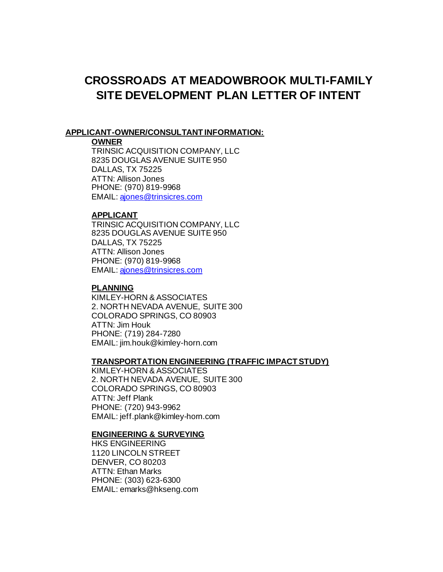# **CROSSROADS AT MEADOWBROOK MULTI-FAMILY SITE DEVELOPMENT PLAN LETTER OF INTENT**

#### **APPLICANT-OWNER/CONSULTANT INFORMATION:**

#### **OWNER**

TRINSIC ACQUISITION COMPANY, LLC 8235 DOUGLAS AVENUE SUITE 950 DALLAS, TX 75225 ATTN: Allison Jones PHONE: (970) 819-9968 EMAIL[: ajones@trinsicres.com](mailto:AJONES@TRINSICRES.COM)

#### **APPLICANT**

TRINSIC ACQUISITION COMPANY, LLC 8235 DOUGLAS AVENUE SUITE 950 DALLAS, TX 75225 ATTN: Allison Jones PHONE: (970) 819-9968 EMAIL[: ajones@trinsicres.com](mailto:AJONES@TRINSICRES.COM)

### **PLANNING**

KIMLEY-HORN & ASSOCIATES 2. NORTH NEVADA AVENUE, SUITE 300 COLORADO SPRINGS, CO 80903 ATTN: Jim Houk PHONE: (719) 284-7280 EMAIL: jim.houk@kimley-horn.com

#### **TRANSPORTATION ENGINEERING (TRAFFIC IMPACT STUDY)**

KIMLEY-HORN & ASSOCIATES 2. NORTH NEVADA AVENUE, SUITE 300 COLORADO SPRINGS, CO 80903 ATTN: Jeff Plank PHONE: (720) 943-9962 EMAIL: jeff.plank@kimley-horn.com

#### **ENGINEERING & SURVEYING**

HKS ENGINEERING 1120 LINCOLN STREET DENVER, CO 80203 ATTN: Ethan Marks PHONE: (303) 623-6300 EMAIL: emarks@hkseng.com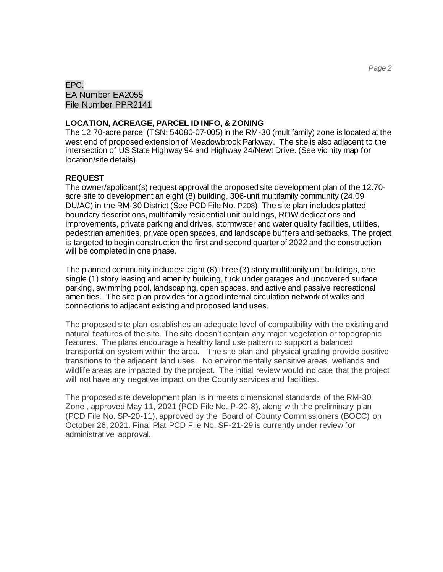EPC: EA Number EA2055 File Number PPR2141

#### **LOCATION, ACREAGE, PARCEL ID INFO, & ZONING**

The 12.70-acre parcel (TSN: 54080-07-005) in the RM-30 (multifamily) zone is located at the west end of proposed extension of Meadowbrook Parkway. The site is also adjacent to the intersection of US State Highway 94 and Highway 24/Newt Drive. (See vicinity map for location/site details).

#### **REQUEST**

The owner/applicant(s) request approval the proposed site development plan of the 12.70 acre site to development an eight (8) building, 306-unit multifamily community (24.09 DU/AC) in the RM-30 District (See PCD File No. P208). The site plan includes platted boundary descriptions, multifamily residential unit buildings, ROW dedications and improvements, private parking and drives, stormwater and water quality facilities, utilities, pedestrian amenities, private open spaces, and landscape buffers and setbacks. The project is targeted to begin construction the first and second quarter of 2022 and the construction will be completed in one phase.

The planned community includes: eight (8) three (3) story multifamily unit buildings, one single (1) story leasing and amenity building, tuck under garages and uncovered surface parking, swimming pool, landscaping, open spaces, and active and passive recreational amenities. The site plan provides for a good internal circulation network of walks and connections to adjacent existing and proposed land uses.

The proposed site plan establishes an adequate level of compatibility with the existing and natural features of the site. The site doesn't contain any major vegetation or topographic features. The plans encourage a healthy land use pattern to support a balanced transportation system within the area. The site plan and physical grading provide positive transitions to the adjacent land uses. No environmentally sensitive areas, wetlands and wildlife areas are impacted by the project. The initial review would indicate that the project will not have any negative impact on the County services and facilities.

The proposed site development plan is in meets dimensional standards of the RM-30 Zone , approved May 11, 2021 (PCD File No. P-20-8), along with the preliminary plan (PCD File No. SP-20-11), approved by the Board of County Commissioners (BOCC) on October 26, 2021. Final Plat PCD File No. SF-21-29 is currently under review for administrative approval.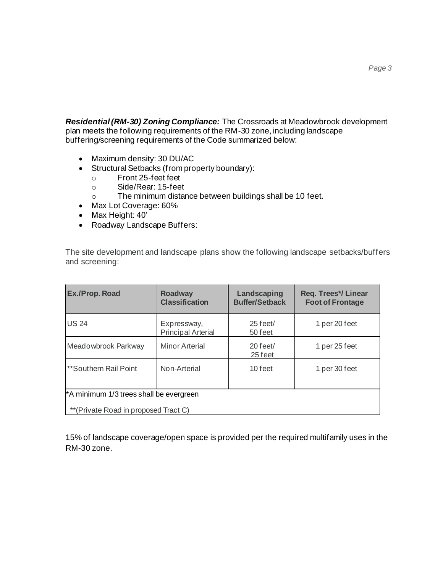*Residential (RM-30) Zoning Compliance:* The Crossroads at Meadowbrook development plan meets the following requirements of the RM-30 zone, including landscape buffering/screening requirements of the Code summarized below:

- Maximum density: 30 DU/AC
- Structural Setbacks (from property boundary):
	- o Front 25-feet feet
	- o Side/Rear: 15-feet
	- o The minimum distance between buildings shall be 10 feet.
- Max Lot Coverage: 60%
- Max Height: 40'
- Roadway Landscape Buffers:

The site development and landscape plans show the following landscape setbacks/buffers and screening:

| Ex./Prop. Road                          | <b>Roadway</b><br><b>Classification</b>  | Landscaping<br><b>Buffer/Setback</b> | <b>Req. Trees*/Linear</b><br><b>Foot of Frontage</b> |  |  |
|-----------------------------------------|------------------------------------------|--------------------------------------|------------------------------------------------------|--|--|
| <b>US 24</b>                            | Expressway,<br><b>Principal Arterial</b> | $25$ feet/<br>50 feet                | 1 per 20 feet                                        |  |  |
| Meadowbrook Parkway                     | <b>Minor Arterial</b>                    | $20$ feet/<br>25 feet                | 1 per 25 feet                                        |  |  |
| **Southern Rail Point                   | Non-Arterial                             | 10 feet                              | 1 per 30 feet                                        |  |  |
| *A minimum 1/3 trees shall be evergreen |                                          |                                      |                                                      |  |  |
| ** (Private Road in proposed Tract C)   |                                          |                                      |                                                      |  |  |

15% of landscape coverage/open space is provided per the required multifamily uses in the RM-30 zone.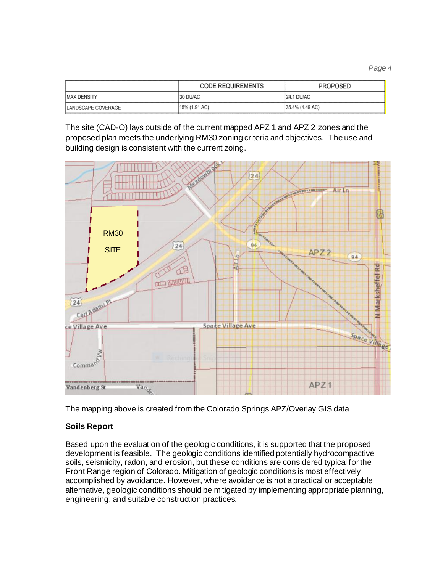*Page 4*

|                            | <b>CODE REQUIREMENTS</b> | <b>PROPOSED</b>   |
|----------------------------|--------------------------|-------------------|
| <b>IMAX DENSITY</b>        | 30 DU/AC                 | <b>24.1 DU/AC</b> |
| <b>ILANDSCAPE COVERAGE</b> | [15% (1.91 AC)           | 35.4% (4.49 AC)   |

The site (CAD-O) lays outside of the current mapped APZ 1 and APZ 2 zones and the proposed plan meets the underlying RM30 zoning criteria and objectives. The use and building design is consistent with the current zoing.



The mapping above is created from the Colorado Springs APZ/Overlay GIS data

# **Soils Report**

Based upon the evaluation of the geologic conditions, it is supported that the proposed development is feasible. The geologic conditions identified potentially hydrocompactive soils, seismicity, radon, and erosion, but these conditions are considered typical for the Front Range region of Colorado. Mitigation of geologic conditions is most effectively accomplished by avoidance. However, where avoidance is not a practical or acceptable alternative, geologic conditions should be mitigated by implementing appropriate planning, engineering, and suitable construction practices.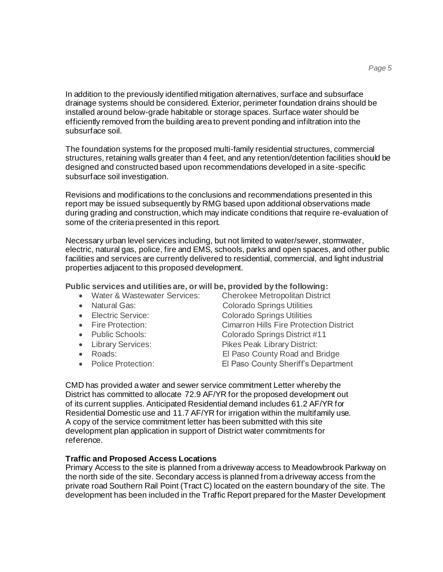In addition to the previously identified mitigation alternatives, surface and subsurface drainage systems should be considered. Exterior, perimeter foundation drains should be installed around below-grade habitable or storage spaces. Surface water should be efficiently removed from the building area to prevent ponding and infiltration into the subsurface soil.

The foundation systems for the proposed multi-family residential structures, commercial structures, retaining walls greater than 4 feet, and any retention/detention facilities should be designed and constructed based upon recommendations developed in a site-specific subsurface soil investigation.

Revisions and modifications to the conclusions and recommendations presented in this report may be issued subsequently by RMG based upon additional observations made during grading and construction, which may indicate conditions that require re-evaluation of some of the criteria presented in this report.

Necessary urban level services including, but not limited to water/sewer, stormwater, electric, natural gas, police, fire and EMS, schools, parks and open spaces, and other public facilities and services are currently delivered to residential, commercial, and light industrial properties adjacent to this proposed development.

**Public services and utilities are, or will be, provided by the following:**

- Water & Wastewater Services: Cherokee Metropolitan District
- 
- 
- 
- 
- 
- 
- 
- Natural Gas: Colorado Springs Utilities • Electric Service: Colorado Springs Utilities • Fire Protection: Cimarron Hills Fire Protection District • Public Schools: Colorado Springs District #11 • Library Services: Pikes Peak Library District: • Roads: El Paso County Road and Bridge • Police Protection: El Paso County Sheriff's Department

CMD has provided a water and sewer service commitment Letter whereby the District has committed to allocate 72.9 AF/YR for the proposed development out of its current supplies. Anticipated Residential demand includes 61.2 AF/YR for Residential Domestic use and 11.7 AF/YR for irrigation within the multifamily use. A copy of the service commitment letter has been submitted with this site development plan application in support of District water commitments for reference.

## **Traffic and Proposed Access Locations**

Primary Access to the site is planned from a driveway access to Meadowbrook Parkway on the north side of the site. Secondary access is planned from a driveway access from the private road Southern Rail Point (Tract C) located on the eastern boundary of the site. The development has been included in the Traffic Report prepared for the Master Development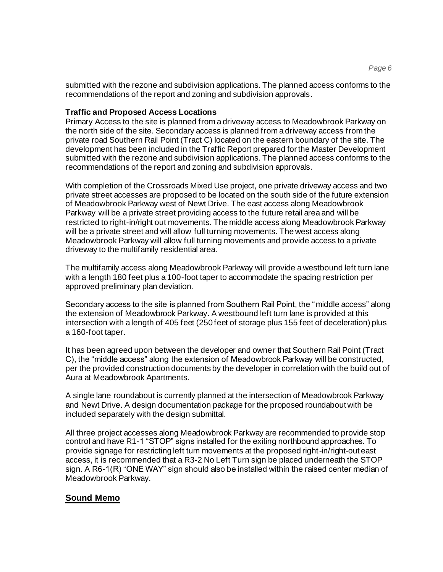submitted with the rezone and subdivision applications. The planned access conforms to the recommendations of the report and zoning and subdivision approvals.

## **Traffic and Proposed Access Locations**

Primary Access to the site is planned from a driveway access to Meadowbrook Parkway on the north side of the site. Secondary access is planned from a driveway access from the private road Southern Rail Point (Tract C) located on the eastern boundary of the site. The development has been included in the Traffic Report prepared for the Master Development submitted with the rezone and subdivision applications. The planned access conforms to the recommendations of the report and zoning and subdivision approvals.

With completion of the Crossroads Mixed Use project, one private driveway access and two private street accesses are proposed to be located on the south side of the future extension of Meadowbrook Parkway west of Newt Drive. The east access along Meadowbrook Parkway will be a private street providing access to the future retail area and will be restricted to right-in/right out movements. The middle access along Meadowbrook Parkway will be a private street and will allow full turning movements. The west access along Meadowbrook Parkway will allow full turning movements and provide access to a private driveway to the multifamily residential area.

The multifamily access along Meadowbrook Parkway will provide a westbound left turn lane with a length 180 feet plus a 100-foot taper to accommodate the spacing restriction per approved preliminary plan deviation.

Secondary access to the site is planned from Southern Rail Point, the "middle access" along the extension of Meadowbrook Parkway. A westbound left turn lane is provided at this intersection with a length of 405 feet (250 feet of storage plus 155 feet of deceleration) plus a 160-foot taper.

It has been agreed upon between the developer and owner that Southern Rail Point (Tract C), the "middle access" along the extension of Meadowbrook Parkway will be constructed, per the provided construction documents by the developer in correlation with the build out of Aura at Meadowbrook Apartments.

A single lane roundabout is currently planned at the intersection of Meadowbrook Parkway and Newt Drive. A design documentation package for the proposed roundabout with be included separately with the design submittal.

All three project accesses along Meadowbrook Parkway are recommended to provide stop control and have R1-1 "STOP" signs installed for the exiting northbound approaches. To provide signage for restricting left turn movements at the proposed right-in/right-out east access, it is recommended that a R3-2 No Left Turn sign be placed underneath the STOP sign. A R6-1(R) "ONE WAY" sign should also be installed within the raised center median of Meadowbrook Parkway.

# **Sound Memo**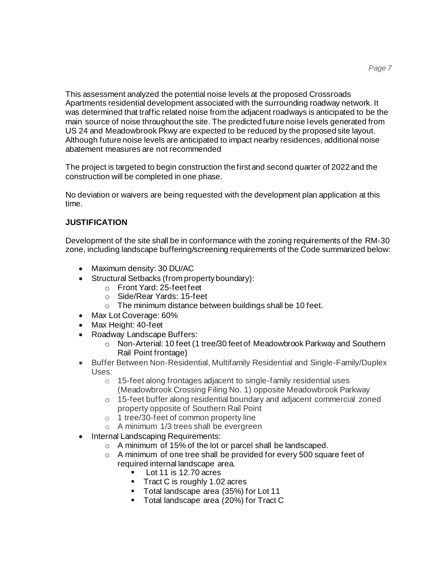This assessment analyzed the potential noise levels at the proposed Crossroads Apartments residential development associated with the surrounding roadway network. It was determined that traffic related noise from the adjacent roadways is anticipated to be the main source of noise throughout the site. The predicted future noise levels generated from US 24 and Meadowbrook Pkwy are expected to be reduced by the proposed site layout. Although future noise levels are anticipated to impact nearby residences, additional noise abatement measures are not recommended

The project is targeted to begin construction the first and second quarter of 2022 and the construction will be completed in one phase.

No deviation or waivers are being requested with the development plan application at this time.

## **JUSTIFICATION**

Development of the site shall be in conformance with the zoning requirements of the RM-30 zone, including landscape buffering/screening requirements of the Code summarized below:

- Maximum density: 30 DU/AC
- Structural Setbacks (from property boundary):
	- o Front Yard: 25-feet feet
	- o Side/Rear Yards: 15-feet
	- o The minimum distance between buildings shall be 10 feet.
- Max Lot Coverage: 60%
- Max Height: 40-feet
- Roadway Landscape Buffers:
	- o Non-Arterial: 10 feet (1 tree/30 feet of Meadowbrook Parkway and Southern Rail Point frontage)
- Buffer Between Non-Residential, Multifamily Residential and Single-Family/Duplex Uses:
	- o 15-feet along frontages adjacent to single-family residential uses (Meadowbrook Crossing Filing No. 1) opposite Meadowbrook Parkway
	- o 15-feet buffer along residential boundary and adjacent commercial zoned property opposite of Southern Rail Point
	- o 1 tree/30-feet of common property line
	- o A minimum 1/3 trees shall be evergreen
- Internal Landscaping Requirements:
	- o A minimum of 15% of the lot or parcel shall be landscaped.
	- o A minimum of one tree shall be provided for every 500 square feet of required internal landscape area.
		- Lot 11 is 12.70 acres
		- **Tract C is roughly 1.02 acres**
		- Total landscape area (35%) for Lot 11
		- Total landscape area (20%) for Tract C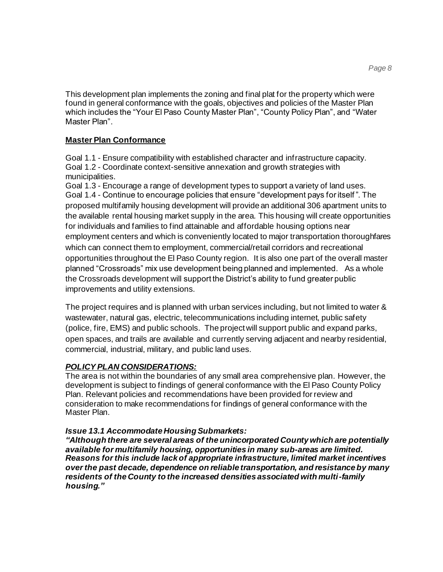This development plan implements the zoning and final plat for the property which were found in general conformance with the goals, objectives and policies of the Master Plan which includes the "Your El Paso County Master Plan", "County Policy Plan", and "Water Master Plan".

## **Master Plan Conformance**

Goal 1.1 - Ensure compatibility with established character and infrastructure capacity. Goal 1.2 - Coordinate context-sensitive annexation and growth strategies with municipalities.

Goal 1.3 - Encourage a range of development types to support a variety of land uses. Goal 1.4 - Continue to encourage policies that ensure "development pays for itself ". The proposed multifamily housing development will provide an additional 306 apartment units to the available rental housing market supply in the area. This housing will create opportunities for individuals and families to find attainable and affordable housing options near employment centers and which is conveniently located to major transportation thoroughfares which can connect them to employment, commercial/retail corridors and recreational opportunities throughout the El Paso County region. It is also one part of the overall master planned "Crossroads" mix use development being planned and implemented. As a whole the Crossroads development will support the District's ability to fund greater public improvements and utility extensions.

The project requires and is planned with urban services including, but not limited to water & wastewater, natural gas, electric, telecommunications including internet, public safety (police, fire, EMS) and public schools. The project will support public and expand parks, open spaces, and trails are available and currently serving adjacent and nearby residential, commercial, industrial, military, and public land uses.

## *POLICY PLAN CONSIDERATIONS:*

The area is not within the boundaries of any small area comprehensive plan. However, the development is subject to findings of general conformance with the El Paso County Policy Plan. Relevant policies and recommendations have been provided for review and consideration to make recommendations for findings of general conformance with the Master Plan.

## *Issue 13.1 Accommodate Housing Submarkets:*

*"Although there are several areas of the unincorporated County which are potentially available for multifamily housing, opportunities in many sub-areas are limited. Reasons for this include lack of appropriate infrastructure, limited market incentives over the past decade, dependence on reliable transportation, and resistance by many residents of the County to the increased densities associated with multi-family housing."*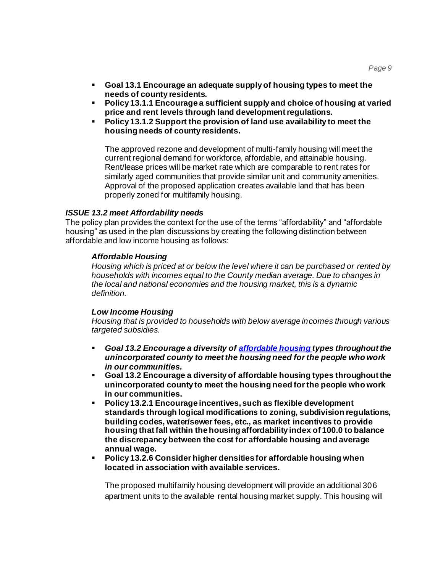- **Goal 13.1 Encourage an adequate supply of housing types to meet the needs of county residents.**
- **Policy 13.1.1 Encourage a sufficient supply and choice of housing at varied price and rent levels through land development regulations.**
- **Policy 13.1.2 Support the provision of land use availability to meet the housing needs of county residents.**

The approved rezone and development of multi-family housing will meet the current regional demand for workforce, affordable, and attainable housing. Rent/lease prices will be market rate which are comparable to rent rates for similarly aged communities that provide similar unit and community amenities. Approval of the proposed application creates available land that has been properly zoned for multifamily housing.

## *ISSUE 13.2 meet Affordability needs*

The policy plan provides the context for the use of the terms "affordability" and "affordable housing" as used in the plan discussions by creating the following distinction between affordable and low income housing as follows:

#### *Affordable Housing*

*Housing which is priced at or below the level where it can be purchased or rented by households with incomes equal to the County median average. Due to changes in the local and national economies and the housing market, this is a dynamic definition.*

#### *Low Income Housing*

*Housing that is provided to households with below average incomes through various targeted subsidies.*

- *Goal 13.2 Encourage a diversity of [affordable housing](http://adm2.elpasoco.com/Planning/Policy-plan/page29.htm#anchor3598379) types throughout the unincorporated county to meet the housing need for the people who work in our communities.*
- **Goal 13.2 Encourage a diversity of [affordable housing](http://adm2.elpasoco.com/Planning/Policy-plan/page29.htm#anchor3598379) types throughout the unincorporated county to meet the housing need for the people who work in our communities.**
- **Policy 13.2.1 Encourage incentives, such as flexible development standards through logical modifications to zoning, subdivision regulations, building codes, water/sewer fees, etc., as market incentives to provide housing that fall within the housing affordability index of 100.0 to balance the discrepancy between the cost for [affordable housing](http://adm2.elpasoco.com/Planning/Policy-plan/page29.htm#anchor3598379) and average annual wage.**
- **Policy 13.2.6 Consider higher densities for [affordable housing](http://adm2.elpasoco.com/Planning/Policy-plan/page29.htm#anchor3598379) when located in association with available services.**

The proposed multifamily housing development will provide an additional 306 apartment units to the available rental housing market supply. This housing will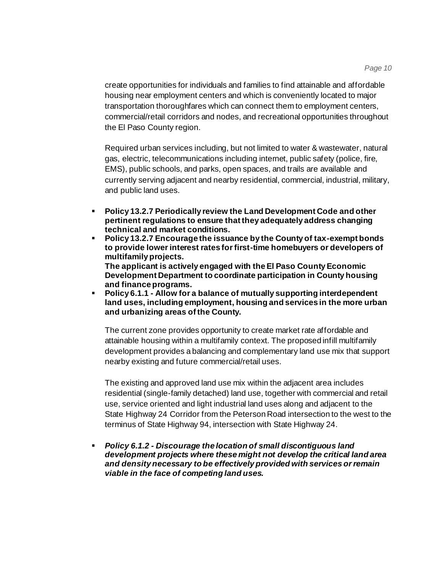create opportunities for individuals and families to find attainable and affordable housing near employment centers and which is conveniently located to major transportation thoroughfares which can connect them to employment centers, commercial/retail corridors and nodes, and recreational opportunities throughout the El Paso County region.

Required urban services including, but not limited to water & wastewater, natural gas, electric, telecommunications including internet, public safety (police, fire, EMS), public schools, and parks, open spaces, and trails are available and currently serving adjacent and nearby residential, commercial, industrial, military, and public land uses.

- **Policy 13.2.7 Periodically review the Land Development Code and other pertinent regulations to ensure that they adequately address changing technical and market conditions.**
- **Policy 13.2.7 Encourage the issuance by the County of tax-exempt bonds to provide lower interest rates for first-time homebuyers or developers of multifamily projects. The applicant is actively engaged with the El Paso County Economic Development Department to coordinate participation in County housing and finance programs.**
- **Policy 6.1.1 - Allow for a balance of mutually supporting interdependent land uses, including employment, housing and services in the more urban and urbanizing areas of the County.**

The current zone provides opportunity to create market rate affordable and attainable housing within a multifamily context. The proposed infill multifamily development provides a balancing and complementary land use mix that support nearby existing and future commercial/retail uses.

The existing and approved land use mix within the adjacent area includes residential (single-family detached) land use, together with commercial and retail use, service oriented and light industrial land uses along and adjacent to the State Highway 24 Corridor from the Peterson Road intersection to the west to the terminus of State Highway 94, intersection with State Highway 24.

▪ *Policy 6.1.2 - Discourage the location of small discontiguous land development projects where these might not develop the critical land area and density necessary to be effectively provided with services or remain viable in the face of competing land uses.*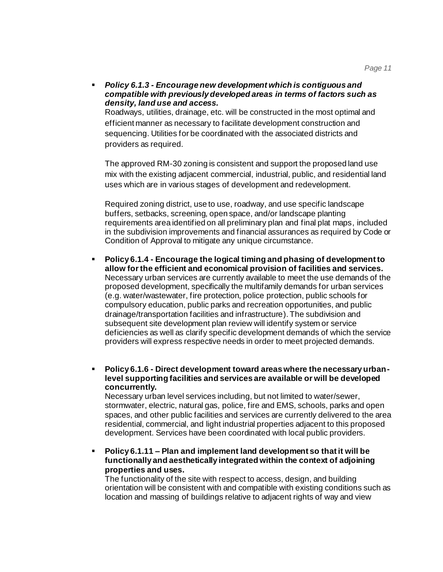▪ *Policy 6.1.3 - Encourage new development which is contiguous and compatible with previously developed areas in terms of factors such as density, land use and access.*

Roadways, utilities, drainage, etc. will be constructed in the most optimal and efficient manner as necessary to facilitate development construction and sequencing. Utilities for be coordinated with the associated districts and providers as required.

The approved RM-30 zoning is consistent and support the proposed land use mix with the existing adjacent commercial, industrial, public, and residential land uses which are in various stages of development and redevelopment.

Required zoning district, use to use, roadway, and use specific landscape buffers, setbacks, screening, open space, and/or landscape planting requirements area identified on all preliminary plan and final plat maps, included in the subdivision improvements and financial assurances as required by Code or Condition of Approval to mitigate any unique circumstance.

- **Policy 6.1.4 - Encourage the logical timing and phasing of development to allow for the efficient and economical provision of facilities and services.** Necessary urban services are currently available to meet the use demands of the proposed development, specifically the multifamily demands for urban services (e.g. water/wastewater, fire protection, police protection, public schools for compulsory education, public parks and recreation opportunities, and public drainage/transportation facilities and infrastructure). The subdivision and subsequent site development plan review will identify system or service deficiencies as well as clarify specific development demands of which the service providers will express respective needs in order to meet projected demands.
- **Policy 6.1.6 - Direct development toward areas where the necessary urbanlevel supporting facilities and services are available or will be developed concurrently.**

Necessary urban level services including, but not limited to water/sewer, stormwater, electric, natural gas, police, fire and EMS, schools, parks and open spaces, and other public facilities and services are currently delivered to the area residential, commercial, and light industrial properties adjacent to this proposed development. Services have been coordinated with local public providers.

▪ **Policy 6.1.11 – Plan and implement land development so that it will be functionally and aesthetically integrated within the context of adjoining properties and uses.**

The functionality of the site with respect to access, design, and building orientation will be consistent with and compatible with existing conditions such as location and massing of buildings relative to adjacent rights of way and view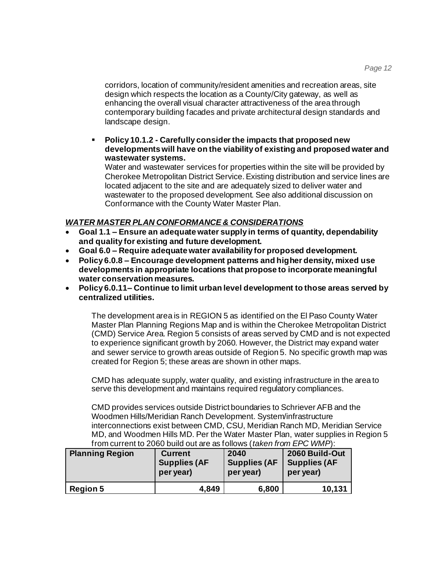corridors, location of community/resident amenities and recreation areas, site design which respects the location as a County/City gateway, as well as enhancing the overall visual character attractiveness of the area through contemporary building facades and private architectural design standards and landscape design.

▪ **Policy 10.1.2 - Carefully consider the impacts that proposed new developments will have on the viability of existing and proposed water and wastewater systems.**

Water and wastewater services for properties within the site will be provided by Cherokee Metropolitan District Service. Existing distribution and service lines are located adjacent to the site and are adequately sized to deliver water and wastewater to the proposed development. See also additional discussion on Conformance with the County Water Master Plan.

## *WATER MASTER PLAN CONFORMANCE & CONSIDERATIONS*

- **Goal 1.1 – Ensure an adequate water supply in terms of quantity, dependability and quality for existing and future development.**
- **Goal 6.0 – Require adequate water availability for proposed development.**
- **Policy 6.0.8 – Encourage development patterns and higher density, mixed use developments in appropriate locations that propose to incorporate meaningful water conservation measures.**
- **Policy 6.0.11– Continue to limit urban level development to those areas served by centralized utilities.**

The development area is in REGION 5 as identified on the El Paso County Water Master Plan Planning Regions Map and is within the Cherokee Metropolitan District (CMD) Service Area. Region 5 consists of areas served by CMD and is not expected to experience significant growth by 2060. However, the District may expand water and sewer service to growth areas outside of Region 5. No specific growth map was created for Region 5; these areas are shown in other maps.

CMD has adequate supply, water quality, and existing infrastructure in the area to serve this development and maintains required regulatory compliances.

CMD provides services outside District boundaries to Schriever AFB and the Woodmen Hills/Meridian Ranch Development. System/infrastructure interconnections exist between CMD, CSU, Meridian Ranch MD, Meridian Service MD, and Woodmen Hills MD. Per the Water Master Plan, water supplies in Region 5 from current to 2060 build out are as follows (*taken from EPC WMP*):

| <b>Planning Region</b> | <b>Current</b>      | 2040                | 2060 Build-Out       |
|------------------------|---------------------|---------------------|----------------------|
|                        | <b>Supplies (AF</b> | <b>Supplies (AF</b> | <b>Supplies (AF)</b> |
|                        | per year)           | per year)           | per year)            |
| <b>Region 5</b>        | 4,849               | 6,800               | 10,131               |